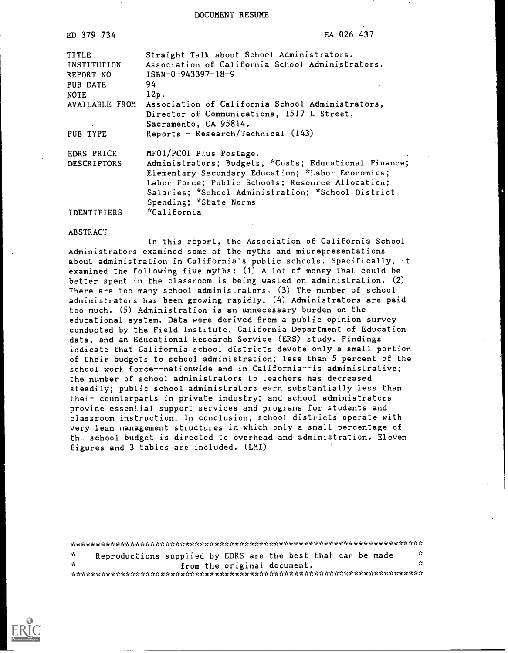DOCUMENT RESUME

| ED 379 734         | EA 026 437                                             |
|--------------------|--------------------------------------------------------|
| <b>TITLE</b>       | Straight Talk about School Administrators.             |
| INSTITUTION        | Association of California School Administrators.       |
| REPORT NO          | $ISBN-0-943397-18-9$                                   |
| PUB DATE           | 94                                                     |
| NOTE               | 12p.                                                   |
| AVAILABLE FROM     | Association of California School Administrators,       |
|                    | Director of Communications, 1517 L Street,             |
|                    | Sacramento, CA 95814.                                  |
| PUB TYPE           | Reports - Research/Technical $(143)$                   |
| EDRS PRICE         | MFO1/PC01 Plus Postage.<br>$\mathcal{F}_{\mathcal{A}}$ |
| <b>DESCRIPTORS</b> | Administrators; Budgets; *Costs; Educational Finance;  |
|                    | Elementary Secondary Education; *Labor Economics;      |
|                    | Labor Force; Public Schools; Resource Allocation;      |
|                    | Salaries; *School Administration; *School District     |
|                    | Spending; *State Norms                                 |
| <b>IDENTIFIERS</b> | "California                                            |

#### ABSTRACT

In this report, the Association of California School Administrators examined some of the myths and misrepresentations about administration in California's public schools. Specifically, it examined the following five myths: (1) A lot of money that could be better spent in the classroom is being wasted on administration. (2) There are too many school administrators: (3) The number of school administrators has been growing rapidly. (4) Administrators are paid too much. (5) Administration is an unnecessary burden on the educational system. Data were derived from a public opinion survey conducted by the Field Institute, California Department of Education data, and an Educational Research Service (ERS) study. Findings indicate that California school districts devote only a small portion of their budgets to school administration; less than 5 percent of the school work force--nationwide and in California--is administrative; the number of school administrators to teachers has decreased steadily; public school administrators earn substantially less than their counterparts in private industry; and school administrators provide essential support services and programs for students and classroom instruction. In conclusion, school districts operate with very lean management structures in which only a small percentage of the school budget is directed to overhead and administration. Eleven figures and 3 tables are included. (LMI)

| i vit |  | Reproductions supplied by EDRS are the best that can be made | УC. |
|-------|--|--------------------------------------------------------------|-----|
| -x    |  | from the original document.                                  |     |
|       |  |                                                              |     |

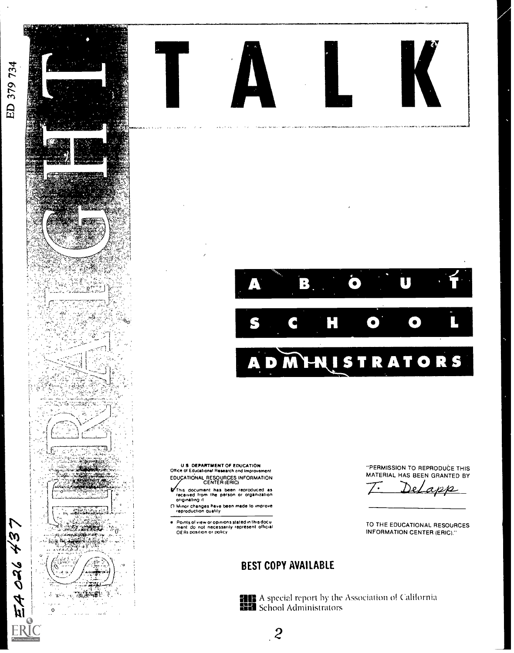EA O26 437

ER

 $\frac{1}{2} \sum_{i=1}^{n} \sum_{j=1}^{n} \sum_{j=1}^{n} \sum_{j=1}^{n} \sum_{j=1}^{n} \sum_{j=1}^{n} \sum_{j=1}^{n} \sum_{j=1}^{n} \sum_{j=1}^{n} \sum_{j=1}^{n} \sum_{j=1}^{n} \sum_{j=1}^{n} \sum_{j=1}^{n} \sum_{j=1}^{n} \sum_{j=1}^{n} \sum_{j=1}^{n} \sum_{j=1}^{n} \sum_{j=1}^{n} \sum_{j=1}^{n} \sum_{j=1}^{n} \sum_{j=1}^{n} \sum_{$ 

 $\mathbf 0$ 

 $\mathbf i$ 

involved for security and construction of properties a company in court carbon specially a **ARCHIVE** 

 $\Box$ B  $\bullet$ 

 $\bullet$  $\bullet$ **MHUSTRATORS** A  $\blacksquare$ 

U S. DEPARTMENT OF EDUCATION<br>Office of Educational Research and Improvement EDUCATIONAL RESOURCES INFORMATION

- This document has been reproduced as<br>received from the person or organization<br>originating it
- Officiating it.<br>
(1) Minor changes have been made to improve<br>
reproduction quality

"PERMISSION TO REPRODUCE THIS MATERIAL HAS BEEN GRANTED BY

TO THE EDUCATIONAL RESOURCES **INFORMATION CENTER (ERIC)."** 

# **BEST COPY AVAILABLE**

 $\overline{.}2$ 

**HE** A special report by the Association of California **NH** School Administrators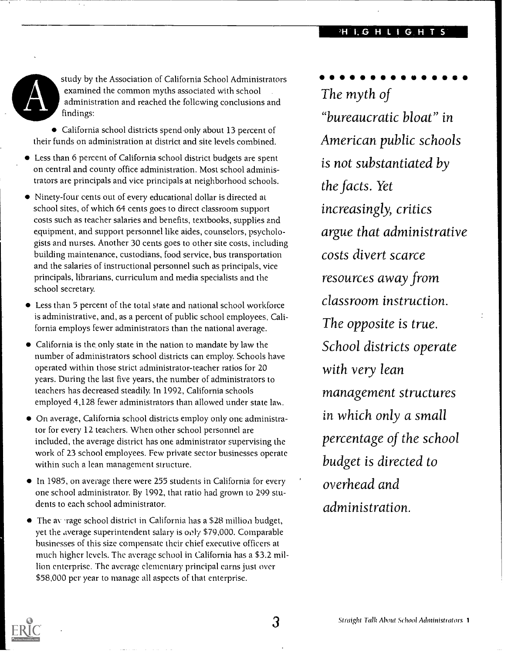study by the Association of California School Administrators examined the common myths associated with school administration and reached the following conclusions and findings:

California school districts spend-only about 13 percent of their funds on administration at district and site levels combined.

- Less than 6 percent of California school district budgets are spent on central and county office administration. Most school administrators are principals and vice principals at neighborhood schools.
- Ninety-four cents out of every educational dollar is directed at school sites, of which 64 cents goes to direct classroom support costs such as teacher salaries and benefits, textbooks, supplies and equipment, and support personnel like aides, counselors, psychologists and nurses. Another 30 cents goes to other site costs, including building maintenance, custodians, food service, bus transportation and the salaries of instructional personnel such as principals, vice principals, librarians, curriculum and media specialists and the school secretary.
- Less than 5 percent of the total state and national school workforce is administrative, and, as a percent of public school employees, California employs fewer administrators than the national average.
- California is the only state in the nation to mandate by law the number of administrators school districts can employ. Schools have operated within those strict administrator-teacher ratios for 20 years. During the last five years, the number of administrators to teachers has decreased steadily. In 1992, California schools employed 4,128 fewer administrators than allowed under state law.
- On average, California school districts employ only one administrator for every 12 teachers. When other school personnel are included, the average district has one administrator supervising the work of 23 school employees. Few private sector businesses operate within such a lean management structure.
- In 1985, on average there were 255 students in California for every one school administrator. By 1992, that ratio had grown to 299 students to each school administrator.
- $\bullet$  The average school district in California has a \$28 million budget, yet the average superintendent salary is oily \$79,000. Comparable businesses of this size compensate their chief executive officers at much higher levels. The average school in California has a \$3.2 million enterprise. The average elementary principal earns just over \$58,000 per year to manage all aspects of that enterprise.

 $\bullet$   $\bullet$ The myth of "bureaucratic bloat" in American public schools is not substantiated by the facts. Yet increasingly, critics argue that administrative costs divert scarce resources away from classroom instruction. The opposite is true. School districts operate with very lean management structures in which only a small percentage of the school budget is directed to overhead and administration.

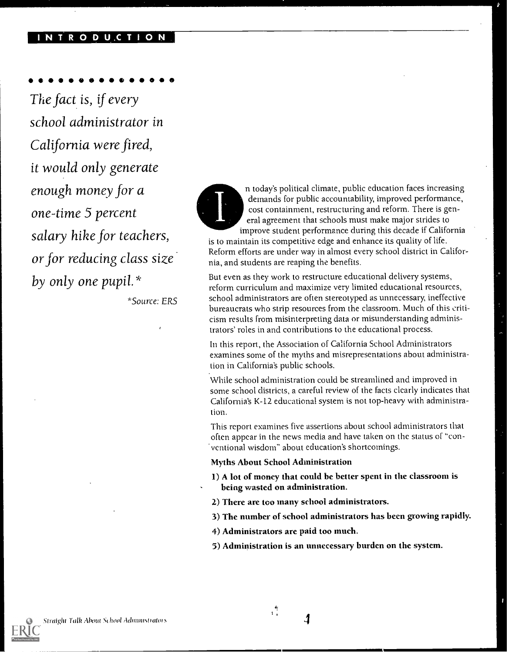#### O D U.C T I O N

The fact is, if every school administrator in California were fired, it would only generate enough money for a one-time 5 percent salary hike for teachers, or for reducing class size by only one pupil. \*

\*Source: ERS

n today's political climate, public education faces increasing demands for public accountability; improved performance, cost containment, restructuring and reform. There is general agreement that schools must make major strides to improve student performance during this decade if California

is to maintain its competitive edge and enhance its quality of life. Reform efforts are under way in almost every school district in California, and students are reaping the benefits.

But even as they work to restructure educational delivery systems, reform curriculum and maximize very limited educational resources, school administrators are often stereotyped as unnecessary, ineffective bureaucrats who strip resources from the classroom. Much of this criticism results from misinterpreting data or misunderstanding administrators' roles in and contributions to the educational process.

In this report, the Association of California School Administrators examines some of the myths and misrepresentations about administration in California's public schools.

While school administration could be streamlined and improved in some school districts, a careful review of the facts clearly indicates that California's K-12 educational system is not top-heavy with administration.

This report examines five assertions about school administrators that often appear in the news media and have taken on the status of "conventional wisdom" about education's shortcomings.

#### Myths About School Administration

- 1) A lot of money that could be better spent in the classroom is being wasted on administration.
- 2) There are too many school administrators.
- 3) The number of school administrators has been growing rapidly.
- 4) Administrators are paid too much.
- 5) Administration is an unnecessary burden on the system.

Ĵ

 $\frac{4}{1}$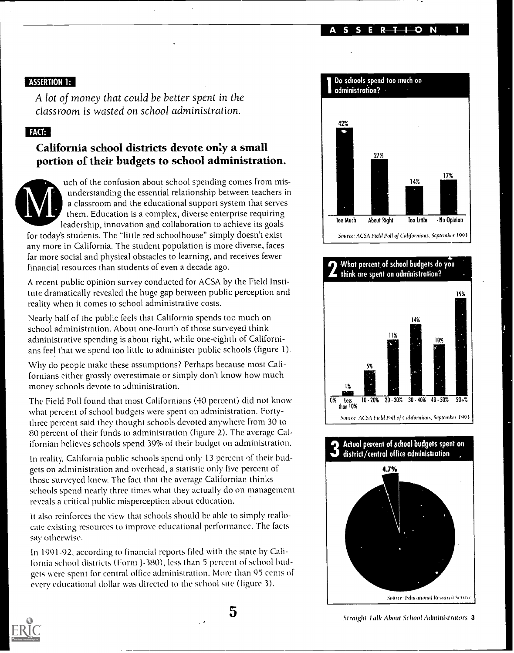ASSERTION 1

## ASSERTION 1:

A lot of money that could be better spent in the classroom is wasted on school administration.

## FACT:

# California school districts devote only a small portion of their budgets to school administration.



uch of the confusion about school spending comes from misunderstanding the essential relationship between teachers in a classroom and the educational support system that serves them. Education is a complex, diverse enterprise requiring leadership, innovation and collaboration to achieve its goals

for today's students. The "little red schoolhouse" simply doesn't exist any more in California. The student population is more diverse, faces far more social and physical obstacles to learning, and receives fewer financial resources than students of even a decade ago.

A recent public opinion survey conducted for ACSA by the Field Institute dramatically revealed the huge gap between public perception and reality when it comes to school administrative costs.

Nearly half of the public feels that California spends too much on school administration. About one-fourth of those surveyed think administrative spending is about right, while one-eighth of Californians feel that we spend too little to administer public schools (figure 1).

Why do people make these assumptions? Perhaps because most Californians either grossly overestimate or simply don't know how much money schools devote to administration.

The Field Poll found that most Californians (40 percent) did not know what percent of school budgets were spent on administration. Fortythree percent said they thought schools devoted anywhere from 30 to 80 percent of their funds to administration (figure 2). The average Californian believes schools spend 39% of their budget on administration.

In reality, California public schools spend only 13 percent of their budgets on administration and overhead, a statistic only five percent of those surveyed knew. The fact that the average Californian thinks schools spend nearly three times what they actually do on management reveals a critical public misperception about education.

it also reinforces the view that schools should be able to simply reallocate existing resources to improve educational performance. The facts say otherwise.

In 1991-92, according to financial reports filed with the state by California school districts (Form J-380), less than 5 percent of school budgets were spent for central office administration. More than 95 cents of every educational dollar was directed to the school site (figure 3).



## **2** think are spent on administration? What percent, of school budgets do you



## 3 district/central office administration Actual percent of school budgets spent on





5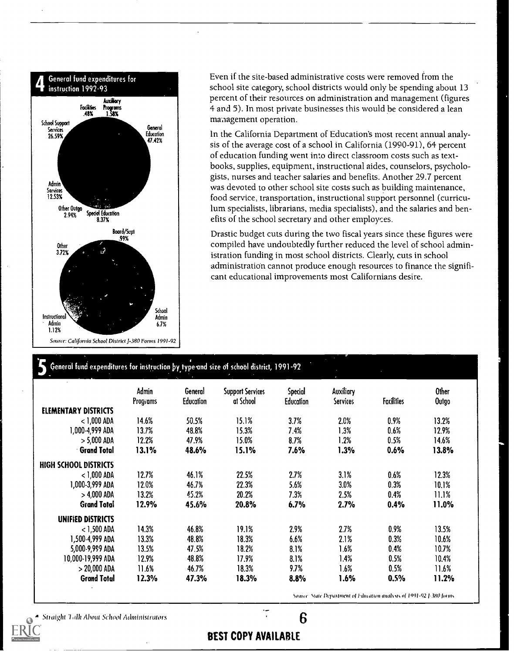

Source: Califonlia School District J-380 Forms 1991-92

Even if the site-based administrative costs were removed from the school site category, school districts would only be spending about 13 percent of their resources on administration and management (figures 4 and 5). In most private businesses this would be considered a lean management operation.

In the California Department of Education's most recent annual analysis of the average cost of a school in California (1990-91), 64 percent of education funding went into direct classroom costs such as textbooks, supplies, equipment, instructional aides, counselors, psychologists, nurses and teacher salaries and benefits. Another 29.7 percent was devoted to other school site costs such as building maintenance, food service, transportation, instructional support personnel (curriculum specialists, librarians, media specialists), and the salaries and benefits of the school secretary and other employees.

Drastic budget cuts during the two fiscal years since these figures were compiled have undoubtedly further reduced the level of school administration funding in most school districts. Clearly, cuts in school administration cannot produce enough resources to finance the significant educational improvements most Californians desire.

#### General fund expenditures for instruction by type and size of school district, 1991-92

|                       | Admin<br>Programs | General<br><b>Education</b> | <b>Support Services</b><br>at School | Special<br>Education | Auxiliary<br><b>Services</b> | <b>Facilities</b> | <b>Other</b><br><b>Outgo</b> |
|-----------------------|-------------------|-----------------------------|--------------------------------------|----------------------|------------------------------|-------------------|------------------------------|
| ELEMENTARY DISTRICTS  |                   |                             |                                      |                      |                              |                   |                              |
| $<$ 1,000 ADA         | 14.6%             | 50.5%                       | 15.1%                                | 3.7%                 | 2.0%                         | $0.9\%$           | 13.2%                        |
| 1,000-4,999 ADA       | 13.7%             | 48.8%                       | 15.3%                                | 7.4%                 | 1.3%                         | 0.6%              | 12.9%                        |
| $> 5,000$ ADA         | 12.2%             | 47.9%                       | 15.0%                                | 8.7%                 | 1.2%                         | 0.5%              | 14.6%                        |
| <b>Grand Total</b>    | 13.1%             | 48.6%                       | 15.1%                                | 7.6%                 | 1.3%                         | 0.6%              | 13.8%                        |
| HIGH SCHOOL DISTRICTS |                   |                             |                                      |                      |                              |                   |                              |
| $<$ 1,000 ADA         | 12.7%             | 46.1%                       | 22.5%                                | 2.7%                 | 3.1%                         | 0.6%              | 12.3%                        |
| 1,000-3,999 ADA       | 12.6%             | 46.7%                       | 22.3%                                | 5.6%                 | 3.0%                         | $0.3\%$           | 10.1%                        |
| > 4,000 ADA           | 13.2%             | 45.2%                       | 20.2%                                | 7.3%                 | 2.5%                         | 0.4%              | 11.1%                        |
| <b>Grand Total</b>    | 12.9%             | 45.6%                       | 20.8%                                | 6.7%                 | 2.7%                         | 0.4%              | 11.0%                        |
| UNIFIED DISTRICTS     |                   |                             |                                      |                      |                              |                   |                              |
| $<$ 1,500 ADA         | 14.3%             | 46.8%                       | 19.1%                                | 2.9%                 | 2.7%                         | 0.9%              | 13.5%                        |
| 1,500-4,999 ADA       | 13.3%             | 48.8%                       | 18.3%                                | 6.6%                 | 2.1%                         | 0.3%              | 10.6%                        |
| 5,000-9,999 ADA       | 13.5%             | 47.5%                       | 18.2%                                | 8.1%                 | 1.6%                         | $0.4\%$           | 10.7%                        |
| 10,000-19,999 ADA     | 12.9%             | 48.8%                       | 17.9%                                | 8.1%                 | 1.4%                         | 0.5%              | 10.4%                        |
| $> 20,000$ ADA        | 11.6%             | 46.7%                       | 18.3%                                | 9.7%                 | 1.6%                         | 0.5%              | 11.6%                        |
| <b>Grand Total</b>    | 12.3%             | 47.3%                       | 18.3%                                | 8.8%                 | 1.6%                         | 0.5%              | 11.2%                        |

Source: State Department of Education analysis of 1991-92 1-380 forms

 $\mathcal{L}_{\text{1}}$  Straight Talk About School Administrators .  $\mathcal{L}_{\text{2}}$  6  $\mathcal{L}_{\text{3}}$  6  $\mathcal{L}_{\text{4}}$  6  $\mathcal{L}_{\text{5}}$  6  $\mathcal{L}_{\text{6}}$  6  $\mathcal{L}_{\text{7}}$  6  $\mathcal{L}_{\text{8}}$  6  $\mathcal{L}_{\text{7}}$  6  $\mathcal{L}_{\text{8}}$  6  $\mathcal{L}_{\text{8}}$  6  $\math$ 

## BEST COPY AVAILABLE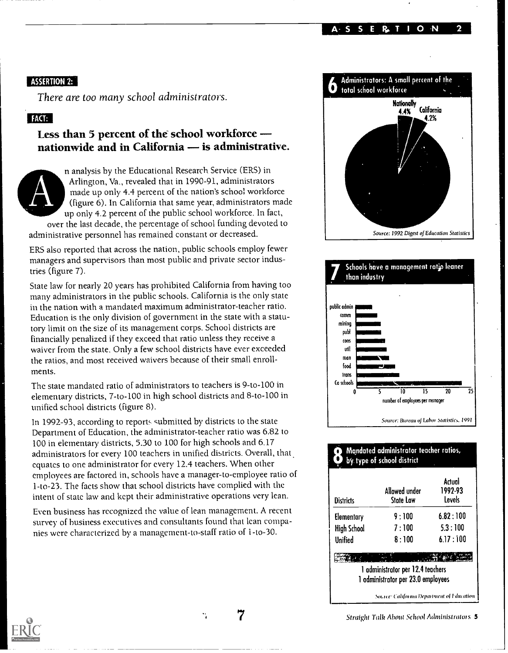A S S E R, T I O N 2

#### ASSERTION 2:

There are too many school administrators.

## FACT:

# Less than 5 percent of the school workforce nationwide and in California - is administrative.



n analysis by the Educational Research Service (ERS) in Arlington, Va., revealed that in 1990-91, administrators made up only 4.4 percent of the nation's school workforce (figure 6). In California that same year, administrators made up only 4.2 percent of the public school workforce. In fact, over the last decade, the percentage of school funding devoted to

administrative personnel has remained constant or decreased.

ERS also reported that across the nation, public schools employ fewer managers and supervisors than most public and private sector industries (figure 7).

State law for nearly 20 years has prohibited California from having too many administrators in the public schools. California is the only state in the nation with a mandated maximum administrator-teacher ratio. Education is the only division of government in the state with a statutory limit on the size of its management corps. School districts are financially penalized if they exceed that ratio unless they receive a waiver from the state. Only a few school districts have ever exceeded the ratios, and most received waivers because of their small enrollments.

The state mandated ratio of administrators to teachers is 9-to-100 in elementary districts, 7-to-100 in high school districts and 8-to-100 in unified school districts (figure 8).

In 1992-93, according to reports submitted by districts to the state Department of Education, the administrator-teacher ratio was 6.82 to 100 in elementary districts, 5.30 to 100 for high schools and 6.17 administrators for every 100 teachers in unified districts. Overall, that equates to one administrator for every 12.4 teachers. When other employees are factored in, schools have a manager-to-employee ratio of 1-to-23. The facts show that school districts have complied with the intent of state law and kept their administrative operations very lean.

Even business has recognized the value of lean management. A recent survey of business executives and consultants found that lean companies were characterized by a management-to-staff ratio of I-to-30.





## **8** manuared doministrator reach Mandated administrator teacher ratios,

| <b>Districts</b>   | Allowed under<br>State Law               | Actual<br>1992-93<br>Levels |
|--------------------|------------------------------------------|-----------------------------|
| Elementary         | 9:100                                    | 6.82:100                    |
| <b>High School</b> | 7:100                                    | 5.3:100                     |
| Unified            | 8:100                                    | 6.17:100                    |
|                    |                                          |                             |
|                    | 1 administrator per 12.4 teachers        |                             |
|                    | 1 administrator per 23.0 employees       |                             |
|                    | Source: Cahforma Department of Education |                             |



 $\ddot{\phantom{1}}$ 

7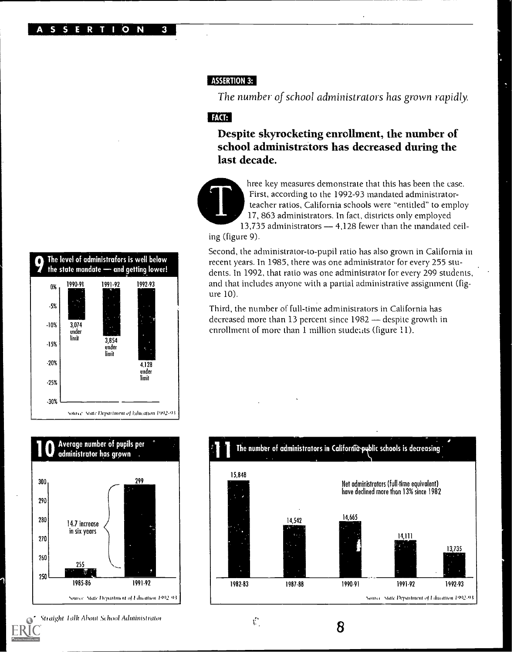### **ASSERTION 3:**

The number of school administrators has grown rapidly.

# FACT:

Despite skyrocketing enrollment, the number of school administrators has decreased during the last decade.



hree key measures demonstrate that this has been the case. First, according to the 1992-93 mandated administratorteacher ratios, California schools were "entitled" to employ 17, 863 administrators. In fact, districts only employed 13,735 administrators - 4,128 fewer than the mandated ceil-

ing (figure 9).

Second, the administrator-to-pupil ratio has also grown in California in recent years. In 1985, there was one administrator for every 255 students. In 1992, that ratio was one administrator for every 299 students, and that includes anyone with a partial administrative assignment (figure 10).

Third, the number of full-time administrators in California has decreased more than 13 percent since 1982 - despite growth in enrollment of more than 1 million students (figure 11).





Straight Talk About School Administrator



 $\hat{V}$ 

8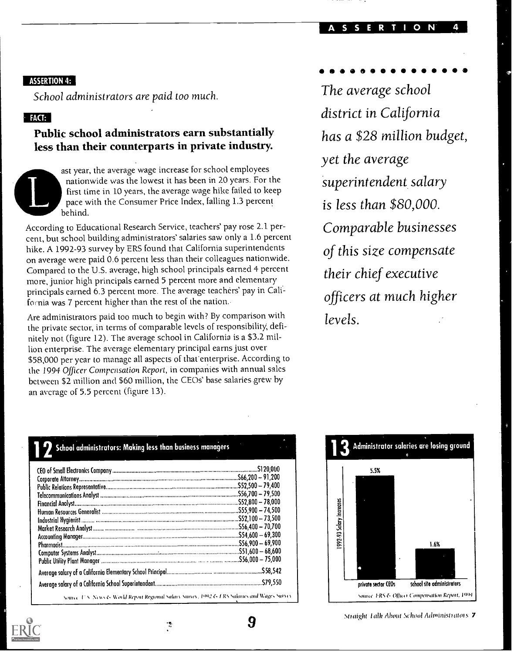#### $\mathbf{o}$

#### ASSERTION 4:

School administrators are paid too much.

## $FACT:$

# Public school administrators earn substantially less than their counterparts in private industry.



ast year, the average wage increase for school employees nationwide was the lowest it has been in 20 years. For the first time in 10 years, the average wage hike failed to keep pace with the Consumer Price Index, falling 1.3 percent behind.

According to Educational Research Service, teachers' pay rose 2.1 percent, but school building administrators' salaries saw only a 1.6 percent hike. A 1992-93 survey by ERS found that California superintendents on average were paid 0.6 percent less than their colleagues nationwide. Compared to the U.S. average, high school principals earned 4 percent more, junior high principals earned 5 percent more and elementary principals earned 6.3 percent more. The average teachers' pay in California was 7 percent higher than the rest of the nation.

Are administrators paid too much to begin with? By comparison with the private sector, in terms of comparable levels of responsibility, definitely not (figure 12). The average school in California is a \$3.2 million enterprise. The average elementary principal earns just over \$58,000 per year to manage all aspects of that enterprise. According to the 1994 Officer Compensation Report, in companies with annual sales between \$2 million and \$60 million, the CEOs' base salaries grew by an average of 5.5 percent (figure 13).

The average school district in California has a \$28 million budget, yet the average superintendent salary is less than \$80,000. Comparable businesses of this size compensate their chief executive officers at much higher levels.



Straight Talk About School Administrators 7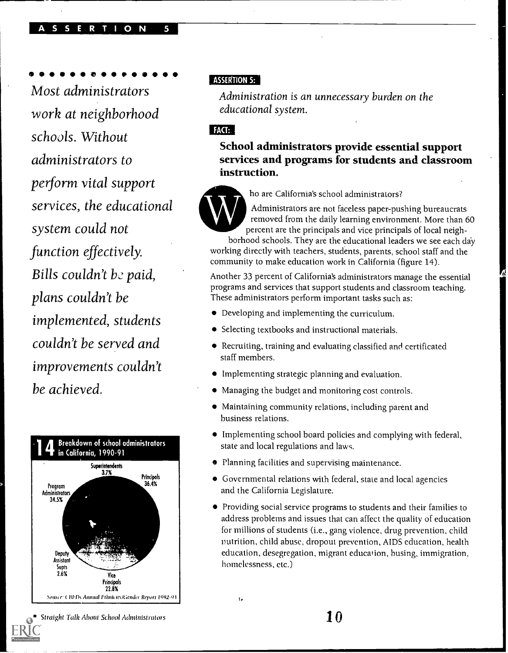#### R T I O N

**00000** 

Most administrators work at neighborhood schools. Without administrators to perform vital support services, the educational system could not function effectively. Bills couldn't be paid, plans couldn't be implemented, students couldn't be served and improvements couldn't be achieved.



## **ASSERTION 5:**

Administration is an unnecessary burden on the educational system.

## FACT:

School administrators provide essential support services and programs for students and classroom



ho are California's school administrators?

instruction.<br>
ho are California's school administrators?<br>
Administrators are not faceless paper-pushing bureaucrats<br>
removed from the daily learning environment. More than 60<br>
percent are the principals and vice principals Administrators are not faceless paper-pushing bureaucrats removed from the daily learning environment. More than 60 percent are the principals and vice principals of local neighborhood schools. They are the educational leaders we see each day

working directly with teachers, students, parents, school staff and the community to make education work in California (figure 14).

Another 33 percent of California's administrators manage the essential programs and services that support students and classroom teaching. These administrators perform important tasks such as:

- Developing and implementing the curriculum.
- Selecting textbooks and instructional materials.
- Recruiting, training and evaluating classified and certificated staff members.
- Implementing strategic planning and evaluation.
- Managing the budget and monitoring cost controls.
- Maintaining community relations, including parent and business relations.
- Implementing school board policies and complying with federal, state and local regulations and laws.
- **•** Planning facilities and supervising maintenance.

ţ,

- Governmental relations with federal, state and local agencies and the California Legislature.
- Providing social service programs to students and their families to address problems and issues that can affect the quality of education for millions of students (i.e., gang violence, drug prevention, child nutrition, child abuse, dropout prevention, AIDS education, health education, desegregation, migrant education, busing, immigration, homelessness, etc.)

Straight Talk About School Administrators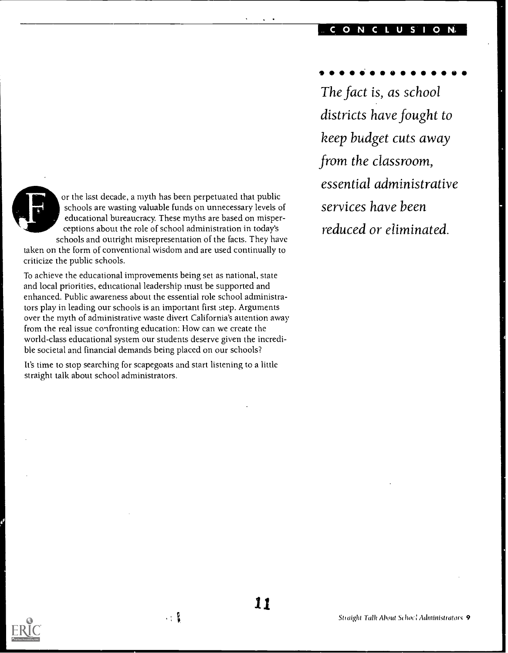#### CONCLUSION,

From the classroom,<br>
or the last decade, a myth has been perpetuated that public<br>
schools are wasting valuable funds on unnecessary levels of<br>
educational bureaucracy. These myths are based on misper-<br>
ceptions about the r or the last decade, a myth has been perpetuated that public schools are wasting valuable funds on unnecessary levels of educational bureaucracy. These myths are based on misperceptions about the role of school administration in today's schools and outright misrepresentation of the facts. They have

taken on the form of conventional wisdom and are used continually to criticize the public schools.

To achieve the educational improvements being set as national, state and local priorities, educational leadership must be supported and enhanced. Public awareness about the essential role school administrators play in leading our schools is an important first step. Arguments over the myth of administrative waste divert California's attention away from the real issue confronting education: How can we create the world-class educational system our students deserve given the incredible societal and financial demands being placed on our schools?

It's time to stop searching for scapegoats and start listening to a little straight talk about school administrators.

 $\cdot: \mathbb{R}$ 

 $\bullet$   $\bullet$ 

The fact is, as school districts have fought to keep budget cuts away from the classroom, essential administrative services have been reduced or eliminated.